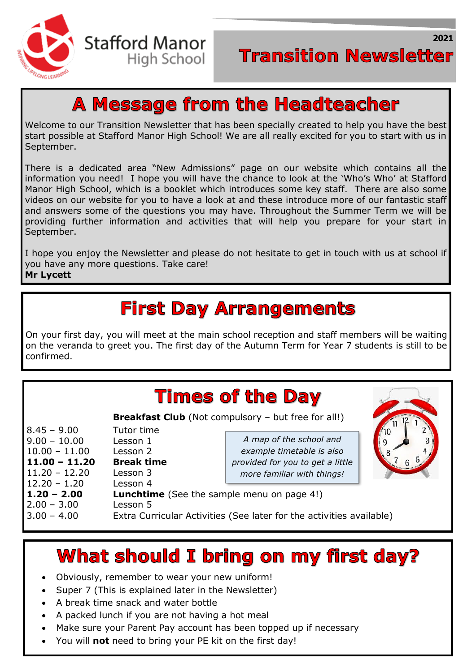

2021

## **A Message from the Headteacher**

Welcome to our Transition Newsletter that has been specially created to help you have the best start possible at Stafford Manor High School! We are all really excited for you to start with us in September.

There is a dedicated area "New Admissions" page on our website which contains all the information you need! I hope you will have the chance to look at the 'Who's Who' at Stafford Manor High School, which is a booklet which introduces some key staff. There are also some videos on our website for you to have a look at and these introduce more of our fantastic staff and answers some of the questions you may have. Throughout the Summer Term we will be providing further information and activities that will help you prepare for your start in September.

I hope you enjoy the Newsletter and please do not hesitate to get in touch with us at school if you have any more questions. Take care!

#### **Mr Lycett**

֖֚֚֚֬

## **First Day Arrangements**

On your first day, you will meet at the main school reception and staff members will be waiting on the veranda to greet you. The first day of the Autumn Term for Year 7 students is still to be confirmed.

| <b>Times of the Day</b> |                                                   |                                                                      |  |
|-------------------------|---------------------------------------------------|----------------------------------------------------------------------|--|
|                         |                                                   | <b>Breakfast Club</b> (Not compulsory - but free for all!)           |  |
| $8.45 - 9.00$           | Tutor time                                        |                                                                      |  |
| $9.00 - 10.00$          | Lesson 1                                          | A map of the school and                                              |  |
| $10.00 - 11.00$         | Lesson 2                                          | example timetable is also                                            |  |
| 11.00 - 11.20           | <b>Break time</b>                                 | provided for you to get a little                                     |  |
| $11.20 - 12.20$         | Lesson 3                                          | more familiar with things!                                           |  |
| $12.20 - 1.20$          | Lesson 4                                          |                                                                      |  |
| $1.20 - 2.00$           | <b>Lunchtime</b> (See the sample menu on page 4!) |                                                                      |  |
| $2.00 - 3.00$           | Lesson 5                                          |                                                                      |  |
| $3.00 - 4.00$           |                                                   | Extra Curricular Activities (See later for the activities available) |  |

### **What should I bring on my first day?**

- Obviously, remember to wear your new uniform!
- Super 7 (This is explained later in the Newsletter)
- A break time snack and water bottle
- A packed lunch if you are not having a hot meal
- Make sure your Parent Pay account has been topped up if necessary
- You will **not** need to bring your PE kit on the first day!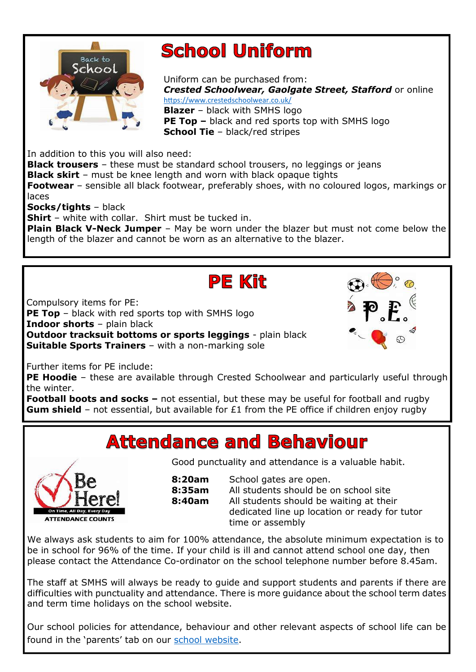

# **School Uniform**

Uniform can be purchased from: *Crested Schoolwear, Gaolgate Street, Stafford* or online <https://www.crestedschoolwear.co.uk/> **Blazer** – black with SMHS logo **PE Top –** black and red sports top with SMHS logo **School Tie** – black/red stripes

In addition to this you will also need:

**Black trousers** – these must be standard school trousers, no leggings or jeans **Black skirt** – must be knee length and worn with black opaque tights **Footwear** – sensible all black footwear, preferably shoes, with no coloured logos, markings or

laces

֖֖֖֖֖֦֦֧֪֪ׅ֖֚֚֚֚֚֚֚֚֚֚֚֬֡֡֡֡֡֡֬֡֡֬֝

j

**Socks/tights** – black

**Shirt** – white with collar. Shirt must be tucked in.

**Plain Black V-Neck Jumper** – May be worn under the blazer but must not come below the length of the blazer and cannot be worn as an alternative to the blazer.

#### **PE Kit**

Compulsory items for PE:

 **PE Top** – black with red sports top with SMHS logo **Outdoor tracksuit bottoms or sports leggings** - plain black **Suitable Sports Trainers** – with a non-marking sole **Indoor shorts** – plain black

 $\overline{a}$ Further items for PE include:

 **PE Hoodie** – these are available through Crested Schoolwear and particularly useful through the winter.

**Football boots and socks –** not essential, but these may be useful for football and rugby **Gum shield** – not essential, but available for £1 from the PE office if children enjoy rugby

### **Attendance and Behaviour**



Good punctuality and attendance is a valuable habit.

| 8:20am | School gates are open.                        |  |  |
|--------|-----------------------------------------------|--|--|
| 8:35am | All students should be on school site         |  |  |
| 8:40am | All students should be waiting at their       |  |  |
|        | dedicated line up location or ready for tutor |  |  |
|        | time or assembly                              |  |  |

We always ask students to aim for 100% attendance, the absolute minimum expectation is to be in school for 96% of the time. If your child is ill and cannot attend school one day, then please contact the Attendance Co-ordinator on the school telephone number before 8.45am.

The staff at SMHS will always be ready to guide and support students and parents if there are difficulties with punctuality and attendance. There is more guidance about the school term dates and term time holidays on the school website.

Our school policies for attendance, behaviour and other relevant aspects of school life can be found in the 'parents' tab on our [school website.](https://www.staffordmanorhighschool.com/)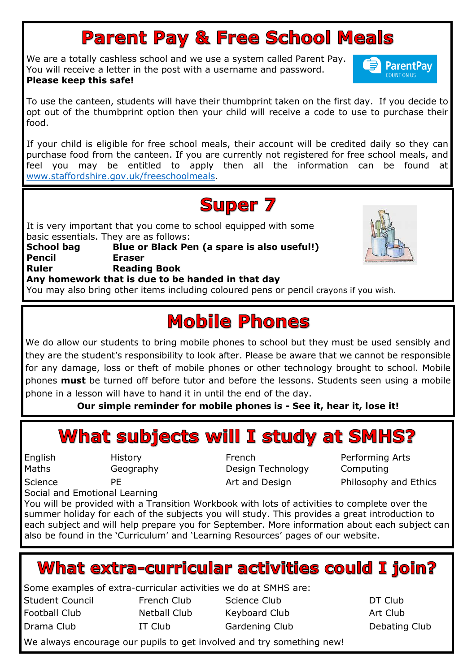# **Parent Pay & Free School Meals**

We are a totally cashless school and we use a system called Parent Pay. You will receive a letter in the post with a username and password. **Please keep this safe!**



To use the canteen, students will have their thumbprint taken on the first day. If you decide to opt out of the thumbprint option then your child will receive a code to use to purchase their food.

If your child is eligible for free school meals, their account will be credited daily so they can purchase food from the canteen. If you are currently not registered for free school meals, and feel you may be entitled to apply then all the information can be found at [www.staffordshire.gov.uk/freeschoolmeals.](http://www.staffordshire.gov.uk/freeschoolmeals)

## **Super 7**

It is very important that you come to school equipped with some basic essentials. They are as follows: **School bag Blue or Black Pen (a spare is also useful!) Pencil Eraser Reading Book Any homework that is due to be handed in that day** You may also bring other items including coloured pens or pencil crayons if you wish. Ruler

# **Mobile Phones**

 $\overline{a}$  they are the student's responsibility to look after. Please be aware that we cannot be responsible for any damage, loss or theft of mobile phones or other technology brought to school. Mobile phones **must** be turned off before tutor and before the lessons. Students seen using a mobile phone in a lesson will have to hand it in until the end of the day.<br>Our simple reminder for mobile phones is - See in We do allow our students to bring mobile phones to school but they must be used sensibly and

**Our simple reminder for mobile phones is - See it, hear it, lose it!**

#### See it, Hear it, Lose it What subjects will I study at SMHS?

English Maths

Science

ׇ֚֬

j

j

l

í

English History French Performing Arts Geography Design Technology Computing

PE **Art and Design** Philosophy and Ethics Philosophy and Ethics

Social and Emotional Learning

You will be provided with a Transition Workbook with lots of activities to complete over the summer holiday for each of the subjects you will study. This provides a great introduction to each subject and will help prepare you for September. More information about each subject can also be found in the 'Curriculum' and 'Learning Resources' pages of our website.

### **What extra-curricular activities could I join?**

Some examples of extra-curricular activities we do at SMHS are:

- Football Club<br>Drama Club
- 

Student Council **French Club** Science Club **DT Club** Netball Club Keyboard Club Art Club IT Club Gardening Club Debating Club

-<br>. j We always encourage our pupils to get involved and try something new!